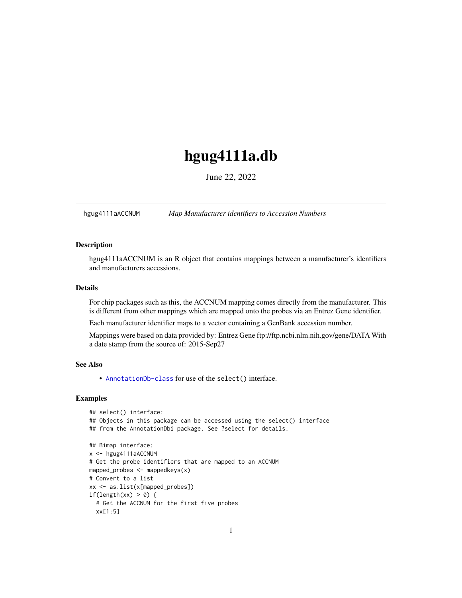## <span id="page-0-1"></span>hgug4111a.db

June 22, 2022

<span id="page-0-0"></span>hgug4111aACCNUM *Map Manufacturer identifiers to Accession Numbers*

## Description

hgug4111aACCNUM is an R object that contains mappings between a manufacturer's identifiers and manufacturers accessions.

## Details

For chip packages such as this, the ACCNUM mapping comes directly from the manufacturer. This is different from other mappings which are mapped onto the probes via an Entrez Gene identifier.

Each manufacturer identifier maps to a vector containing a GenBank accession number.

Mappings were based on data provided by: Entrez Gene ftp://ftp.ncbi.nlm.nih.gov/gene/DATA With a date stamp from the source of: 2015-Sep27

## See Also

• AnnotationDb-class for use of the select() interface.

```
## select() interface:
## Objects in this package can be accessed using the select() interface
## from the AnnotationDbi package. See ?select for details.
## Bimap interface:
x <- hgug4111aACCNUM
# Get the probe identifiers that are mapped to an ACCNUM
mapped_probes <- mappedkeys(x)
# Convert to a list
xx <- as.list(x[mapped_probes])
if(length(xx) > 0) {
 # Get the ACCNUM for the first five probes
 xx[1:5]
```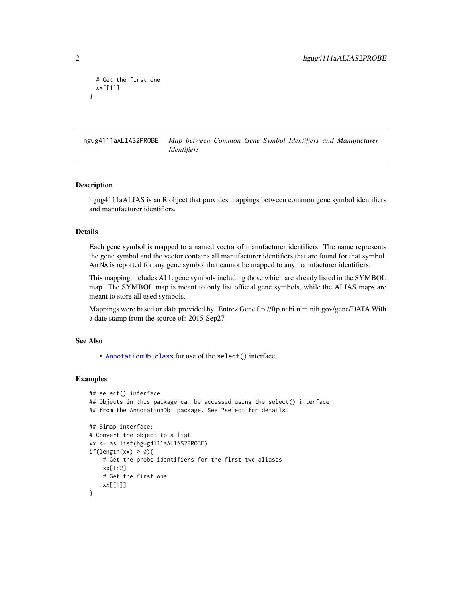```
# Get the first one
 xx[[1]]
}
```
hgug4111aALIAS2PROBE *Map between Common Gene Symbol Identifiers and Manufacturer Identifiers*

## Description

hgug4111aALIAS is an R object that provides mappings between common gene symbol identifiers and manufacturer identifiers.

## Details

Each gene symbol is mapped to a named vector of manufacturer identifiers. The name represents the gene symbol and the vector contains all manufacturer identifiers that are found for that symbol. An NA is reported for any gene symbol that cannot be mapped to any manufacturer identifiers.

This mapping includes ALL gene symbols including those which are already listed in the SYMBOL map. The SYMBOL map is meant to only list official gene symbols, while the ALIAS maps are meant to store all used symbols.

Mappings were based on data provided by: Entrez Gene ftp://ftp.ncbi.nlm.nih.gov/gene/DATA With a date stamp from the source of: 2015-Sep27

## See Also

• [AnnotationDb-class](#page-0-0) for use of the select() interface.

```
## select() interface:
## Objects in this package can be accessed using the select() interface
## from the AnnotationDbi package. See ?select for details.
## Bimap interface:
# Convert the object to a list
xx <- as.list(hgug4111aALIAS2PROBE)
if(length(xx) > 0){
    # Get the probe identifiers for the first two aliases
   xx[1:2]
   # Get the first one
   xx[[1]]
}
```
<span id="page-1-0"></span>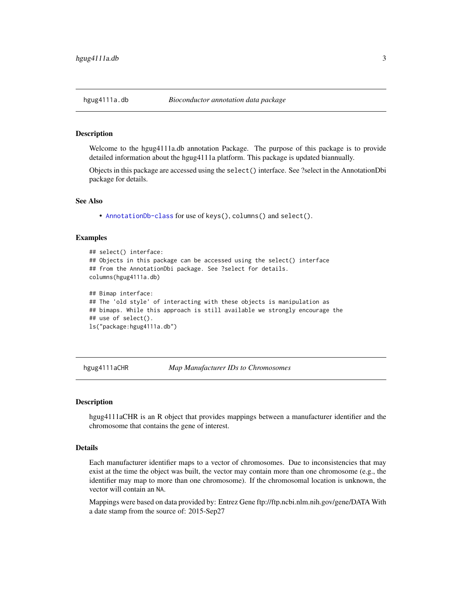#### Description

Welcome to the hgug4111a.db annotation Package. The purpose of this package is to provide detailed information about the hgug4111a platform. This package is updated biannually.

Objects in this package are accessed using the select() interface. See ?select in the AnnotationDbi package for details.

#### See Also

• [AnnotationDb-class](#page-0-0) for use of keys(), columns() and select().

#### Examples

```
## select() interface:
## Objects in this package can be accessed using the select() interface
## from the AnnotationDbi package. See ?select for details.
columns(hgug4111a.db)
## Bimap interface:
## The 'old style' of interacting with these objects is manipulation as
## bimaps. While this approach is still available we strongly encourage the
## use of select().
ls("package:hgug4111a.db")
```
hgug4111aCHR *Map Manufacturer IDs to Chromosomes*

#### **Description**

hgug4111aCHR is an R object that provides mappings between a manufacturer identifier and the chromosome that contains the gene of interest.

## Details

Each manufacturer identifier maps to a vector of chromosomes. Due to inconsistencies that may exist at the time the object was built, the vector may contain more than one chromosome (e.g., the identifier may map to more than one chromosome). If the chromosomal location is unknown, the vector will contain an NA.

Mappings were based on data provided by: Entrez Gene ftp://ftp.ncbi.nlm.nih.gov/gene/DATA With a date stamp from the source of: 2015-Sep27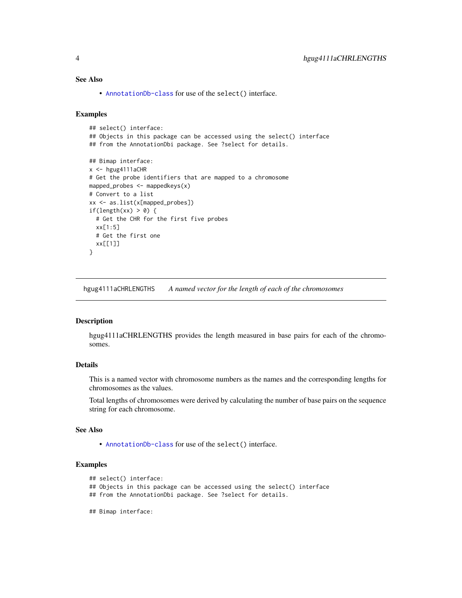## <span id="page-3-0"></span>See Also

• [AnnotationDb-class](#page-0-0) for use of the select() interface.

## Examples

```
## select() interface:
## Objects in this package can be accessed using the select() interface
## from the AnnotationDbi package. See ?select for details.
## Bimap interface:
x < - hgug4111aCHR
# Get the probe identifiers that are mapped to a chromosome
mapped_probes <- mappedkeys(x)
# Convert to a list
xx <- as.list(x[mapped_probes])
if(length(xx) > 0) {
  # Get the CHR for the first five probes
  xx[1:5]
  # Get the first one
  xx[[1]]
}
```
hgug4111aCHRLENGTHS *A named vector for the length of each of the chromosomes*

## **Description**

hgug4111aCHRLENGTHS provides the length measured in base pairs for each of the chromosomes.

## Details

This is a named vector with chromosome numbers as the names and the corresponding lengths for chromosomes as the values.

Total lengths of chromosomes were derived by calculating the number of base pairs on the sequence string for each chromosome.

## See Also

• [AnnotationDb-class](#page-0-0) for use of the select() interface.

```
## select() interface:
```
- ## Objects in this package can be accessed using the select() interface
- ## from the AnnotationDbi package. See ?select for details.
- ## Bimap interface: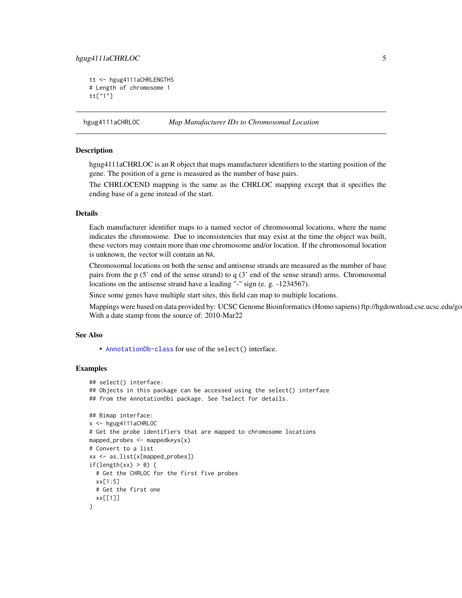## <span id="page-4-0"></span>hgug4111aCHRLOC 5

```
tt <- hgug4111aCHRLENGTHS
# Length of chromosome 1
tt["1"]
```
hgug4111aCHRLOC *Map Manufacturer IDs to Chromosomal Location*

## **Description**

hgug4111aCHRLOC is an R object that maps manufacturer identifiers to the starting position of the gene. The position of a gene is measured as the number of base pairs.

The CHRLOCEND mapping is the same as the CHRLOC mapping except that it specifies the ending base of a gene instead of the start.

## Details

Each manufacturer identifier maps to a named vector of chromosomal locations, where the name indicates the chromosome. Due to inconsistencies that may exist at the time the object was built, these vectors may contain more than one chromosome and/or location. If the chromosomal location is unknown, the vector will contain an NA.

Chromosomal locations on both the sense and antisense strands are measured as the number of base pairs from the p (5' end of the sense strand) to q (3' end of the sense strand) arms. Chromosomal locations on the antisense strand have a leading "-" sign (e. g. -1234567).

Since some genes have multiple start sites, this field can map to multiple locations.

Mappings were based on data provided by: UCSC Genome Bioinformatics (Homo sapiens) ftp://hgdownload.cse.ucsc.edu/go With a date stamp from the source of: 2010-Mar22

## See Also

• [AnnotationDb-class](#page-0-0) for use of the select() interface.

```
## select() interface:
## Objects in this package can be accessed using the select() interface
## from the AnnotationDbi package. See ?select for details.
## Bimap interface:
x <- hgug4111aCHRLOC
# Get the probe identifiers that are mapped to chromosome locations
mapped_probes <- mappedkeys(x)
# Convert to a list
xx <- as.list(x[mapped_probes])
if(length(xx) > 0) {
 # Get the CHRLOC for the first five probes
 xx[1:5]
 # Get the first one
 xx[[1]]
}
```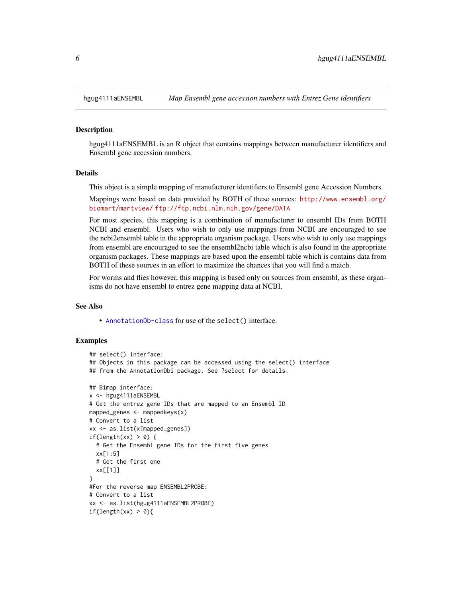<span id="page-5-0"></span>

#### Description

hgug4111aENSEMBL is an R object that contains mappings between manufacturer identifiers and Ensembl gene accession numbers.

## Details

This object is a simple mapping of manufacturer identifiers to Ensembl gene Accession Numbers.

Mappings were based on data provided by BOTH of these sources: [http://www.ensembl.org/](http://www.ensembl.org/biomart/martview/) [biomart/martview/](http://www.ensembl.org/biomart/martview/) <ftp://ftp.ncbi.nlm.nih.gov/gene/DATA>

For most species, this mapping is a combination of manufacturer to ensembl IDs from BOTH NCBI and ensembl. Users who wish to only use mappings from NCBI are encouraged to see the ncbi2ensembl table in the appropriate organism package. Users who wish to only use mappings from ensembl are encouraged to see the ensembl2ncbi table which is also found in the appropriate organism packages. These mappings are based upon the ensembl table which is contains data from BOTH of these sources in an effort to maximize the chances that you will find a match.

For worms and flies however, this mapping is based only on sources from ensembl, as these organisms do not have ensembl to entrez gene mapping data at NCBI.

#### See Also

• [AnnotationDb-class](#page-0-0) for use of the select() interface.

```
## select() interface:
## Objects in this package can be accessed using the select() interface
## from the AnnotationDbi package. See ?select for details.
## Bimap interface:
x <- hgug4111aENSEMBL
# Get the entrez gene IDs that are mapped to an Ensembl ID
mapped_genes \leq mappedkeys(x)
# Convert to a list
xx <- as.list(x[mapped_genes])
if(length(xx) > 0) {
 # Get the Ensembl gene IDs for the first five genes
 xx[1:5]
 # Get the first one
 xx[[1]]
}
#For the reverse map ENSEMBL2PROBE:
# Convert to a list
xx <- as.list(hgug4111aENSEMBL2PROBE)
if(length(xx) > 0){
```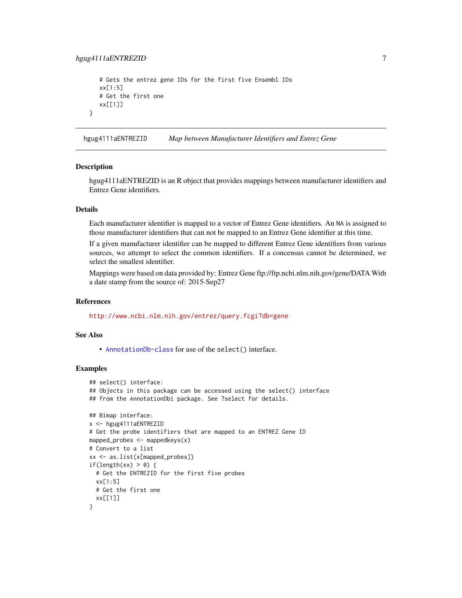## <span id="page-6-0"></span>hgug4111aENTREZID 7

```
# Gets the entrez gene IDs for the first five Ensembl IDs
xx[1:5]
# Get the first one
xx[[1]]
```
hgug4111aENTREZID *Map between Manufacturer Identifiers and Entrez Gene*

#### **Description**

}

hgug4111aENTREZID is an R object that provides mappings between manufacturer identifiers and Entrez Gene identifiers.

## Details

Each manufacturer identifier is mapped to a vector of Entrez Gene identifiers. An NA is assigned to those manufacturer identifiers that can not be mapped to an Entrez Gene identifier at this time.

If a given manufacturer identifier can be mapped to different Entrez Gene identifiers from various sources, we attempt to select the common identifiers. If a concensus cannot be determined, we select the smallest identifier.

Mappings were based on data provided by: Entrez Gene ftp://ftp.ncbi.nlm.nih.gov/gene/DATA With a date stamp from the source of: 2015-Sep27

#### References

<http://www.ncbi.nlm.nih.gov/entrez/query.fcgi?db=gene>

## See Also

• [AnnotationDb-class](#page-0-0) for use of the select() interface.

```
## select() interface:
## Objects in this package can be accessed using the select() interface
## from the AnnotationDbi package. See ?select for details.
## Bimap interface:
x <- hgug4111aENTREZID
# Get the probe identifiers that are mapped to an ENTREZ Gene ID
mapped_probes <- mappedkeys(x)
# Convert to a list
xx <- as.list(x[mapped_probes])
if(length(xx) > 0) {
 # Get the ENTREZID for the first five probes
 xx[1:5]
 # Get the first one
 xx[[1]]
}
```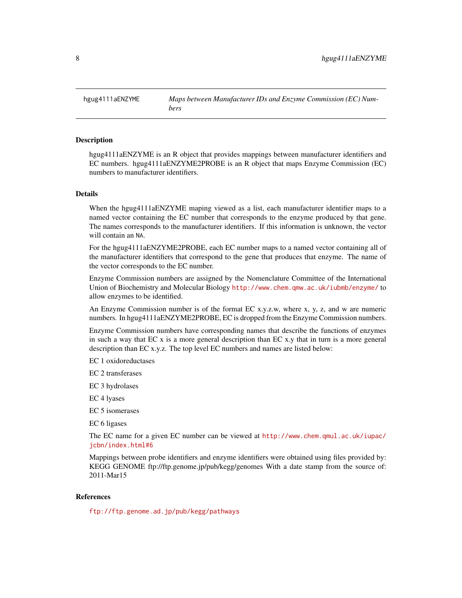<span id="page-7-0"></span>hgug4111aENZYME *Maps between Manufacturer IDs and Enzyme Commission (EC) Numbers*

## Description

hgug4111aENZYME is an R object that provides mappings between manufacturer identifiers and EC numbers. hgug4111aENZYME2PROBE is an R object that maps Enzyme Commission (EC) numbers to manufacturer identifiers.

## Details

When the hgug4111aENZYME maping viewed as a list, each manufacturer identifier maps to a named vector containing the EC number that corresponds to the enzyme produced by that gene. The names corresponds to the manufacturer identifiers. If this information is unknown, the vector will contain an NA.

For the hgug4111aENZYME2PROBE, each EC number maps to a named vector containing all of the manufacturer identifiers that correspond to the gene that produces that enzyme. The name of the vector corresponds to the EC number.

Enzyme Commission numbers are assigned by the Nomenclature Committee of the International Union of Biochemistry and Molecular Biology <http://www.chem.qmw.ac.uk/iubmb/enzyme/> to allow enzymes to be identified.

An Enzyme Commission number is of the format EC x.y.z.w, where x, y, z, and w are numeric numbers. In hgug4111aENZYME2PROBE, EC is dropped from the Enzyme Commission numbers.

Enzyme Commission numbers have corresponding names that describe the functions of enzymes in such a way that EC x is a more general description than EC x.y that in turn is a more general description than EC x.y.z. The top level EC numbers and names are listed below:

EC 1 oxidoreductases

EC 2 transferases

EC 3 hydrolases

EC 4 lyases

EC 5 isomerases

EC 6 ligases

The EC name for a given EC number can be viewed at [http://www.chem.qmul.ac.uk/iupac/](http://www.chem.qmul.ac.uk/iupac/jcbn/index.html#6) [jcbn/index.html#6](http://www.chem.qmul.ac.uk/iupac/jcbn/index.html#6)

Mappings between probe identifiers and enzyme identifiers were obtained using files provided by: KEGG GENOME ftp://ftp.genome.jp/pub/kegg/genomes With a date stamp from the source of: 2011-Mar15

## References

<ftp://ftp.genome.ad.jp/pub/kegg/pathways>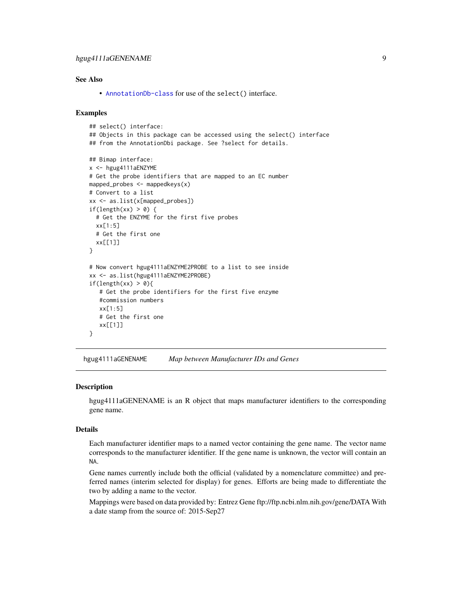## <span id="page-8-0"></span>hgug4111aGENENAME 9

## See Also

• [AnnotationDb-class](#page-0-0) for use of the select() interface.

## Examples

```
## select() interface:
## Objects in this package can be accessed using the select() interface
## from the AnnotationDbi package. See ?select for details.
## Bimap interface:
x <- hgug4111aENZYME
# Get the probe identifiers that are mapped to an EC number
mapped_probes <- mappedkeys(x)
# Convert to a list
xx <- as.list(x[mapped_probes])
if(length(xx) > 0) {
  # Get the ENZYME for the first five probes
  xx[1:5]
  # Get the first one
  xx[[1]]
}
# Now convert hgug4111aENZYME2PROBE to a list to see inside
xx <- as.list(hgug4111aENZYME2PROBE)
if(length(xx) > 0)# Get the probe identifiers for the first five enzyme
   #commission numbers
   xx[1:5]
   # Get the first one
   xx[[1]]
}
```
hgug4111aGENENAME *Map between Manufacturer IDs and Genes*

## Description

hgug4111aGENENAME is an R object that maps manufacturer identifiers to the corresponding gene name.

## Details

Each manufacturer identifier maps to a named vector containing the gene name. The vector name corresponds to the manufacturer identifier. If the gene name is unknown, the vector will contain an NA.

Gene names currently include both the official (validated by a nomenclature committee) and preferred names (interim selected for display) for genes. Efforts are being made to differentiate the two by adding a name to the vector.

Mappings were based on data provided by: Entrez Gene ftp://ftp.ncbi.nlm.nih.gov/gene/DATA With a date stamp from the source of: 2015-Sep27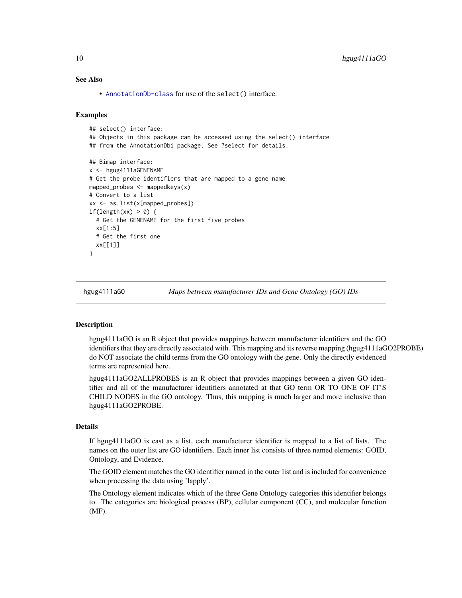## See Also

• [AnnotationDb-class](#page-0-0) for use of the select() interface.

#### Examples

```
## select() interface:
## Objects in this package can be accessed using the select() interface
## from the AnnotationDbi package. See ?select for details.
## Bimap interface:
x <- hgug4111aGENENAME
# Get the probe identifiers that are mapped to a gene name
mapped_probes <- mappedkeys(x)
# Convert to a list
xx <- as.list(x[mapped_probes])
if(length(xx) > 0) {
 # Get the GENENAME for the first five probes
 xx[1:5]
 # Get the first one
 xx[[1]]
}
```
hgug4111aGO *Maps between manufacturer IDs and Gene Ontology (GO) IDs*

## <span id="page-9-0"></span>Description

hgug4111aGO is an R object that provides mappings between manufacturer identifiers and the GO identifiers that they are directly associated with. This mapping and its reverse mapping (hgug4111aGO2PROBE) do NOT associate the child terms from the GO ontology with the gene. Only the directly evidenced terms are represented here.

hgug4111aGO2ALLPROBES is an R object that provides mappings between a given GO identifier and all of the manufacturer identifiers annotated at that GO term OR TO ONE OF IT'S CHILD NODES in the GO ontology. Thus, this mapping is much larger and more inclusive than hgug4111aGO2PROBE.

## Details

If hgug4111aGO is cast as a list, each manufacturer identifier is mapped to a list of lists. The names on the outer list are GO identifiers. Each inner list consists of three named elements: GOID, Ontology, and Evidence.

The GOID element matches the GO identifier named in the outer list and is included for convenience when processing the data using 'lapply'.

The Ontology element indicates which of the three Gene Ontology categories this identifier belongs to. The categories are biological process (BP), cellular component (CC), and molecular function (MF).

<span id="page-9-1"></span>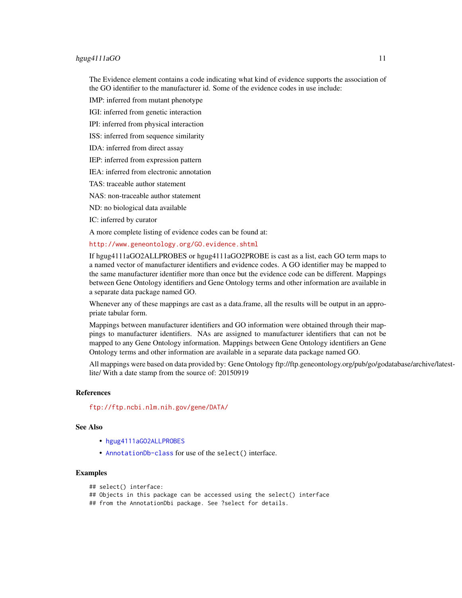## <span id="page-10-0"></span>hgug4111aGO 11

The Evidence element contains a code indicating what kind of evidence supports the association of the GO identifier to the manufacturer id. Some of the evidence codes in use include:

IMP: inferred from mutant phenotype

IGI: inferred from genetic interaction

IPI: inferred from physical interaction

ISS: inferred from sequence similarity

IDA: inferred from direct assay

IEP: inferred from expression pattern

IEA: inferred from electronic annotation

TAS: traceable author statement

NAS: non-traceable author statement

ND: no biological data available

IC: inferred by curator

A more complete listing of evidence codes can be found at:

<http://www.geneontology.org/GO.evidence.shtml>

If hgug4111aGO2ALLPROBES or hgug4111aGO2PROBE is cast as a list, each GO term maps to a named vector of manufacturer identifiers and evidence codes. A GO identifier may be mapped to the same manufacturer identifier more than once but the evidence code can be different. Mappings between Gene Ontology identifiers and Gene Ontology terms and other information are available in a separate data package named GO.

Whenever any of these mappings are cast as a data.frame, all the results will be output in an appropriate tabular form.

Mappings between manufacturer identifiers and GO information were obtained through their mappings to manufacturer identifiers. NAs are assigned to manufacturer identifiers that can not be mapped to any Gene Ontology information. Mappings between Gene Ontology identifiers an Gene Ontology terms and other information are available in a separate data package named GO.

All mappings were based on data provided by: Gene Ontology ftp://ftp.geneontology.org/pub/go/godatabase/archive/latestlite/ With a date stamp from the source of: 20150919

## References

<ftp://ftp.ncbi.nlm.nih.gov/gene/DATA/>

## See Also

- [hgug4111aGO2ALLPROBES](#page-9-0)
- [AnnotationDb-class](#page-0-0) for use of the select() interface.

## Examples

```
## select() interface:
```
## Objects in this package can be accessed using the select() interface

## from the AnnotationDbi package. See ?select for details.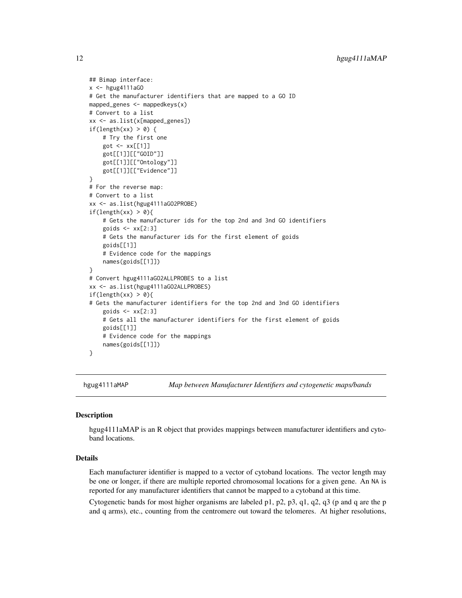```
## Bimap interface:
x < - hgug4111aGO
# Get the manufacturer identifiers that are mapped to a GO ID
mapped_genes <- mappedkeys(x)
# Convert to a list
xx <- as.list(x[mapped_genes])
if(length(xx) > 0) {
    # Try the first one
    got \leq -xx[[1]]got[[1]][["GOID"]]
    got[[1]][["Ontology"]]
    got[[1]][["Evidence"]]
}
# For the reverse map:
# Convert to a list
xx <- as.list(hgug4111aGO2PROBE)
if(length(xx) > 0){
    # Gets the manufacturer ids for the top 2nd and 3nd GO identifiers
    goids \leq -x \times [2:3]# Gets the manufacturer ids for the first element of goids
    goids[[1]]
    # Evidence code for the mappings
    names(goids[[1]])
}
# Convert hgug4111aGO2ALLPROBES to a list
xx <- as.list(hgug4111aGO2ALLPROBES)
if(length(xx) > 0){
# Gets the manufacturer identifiers for the top 2nd and 3nd GO identifiers
    goids \leq -x \times [2:3]# Gets all the manufacturer identifiers for the first element of goids
    goids[[1]]
    # Evidence code for the mappings
    names(goids[[1]])
}
```
hgug4111aMAP *Map between Manufacturer Identifiers and cytogenetic maps/bands*

## Description

hgug4111aMAP is an R object that provides mappings between manufacturer identifiers and cytoband locations.

#### Details

Each manufacturer identifier is mapped to a vector of cytoband locations. The vector length may be one or longer, if there are multiple reported chromosomal locations for a given gene. An NA is reported for any manufacturer identifiers that cannot be mapped to a cytoband at this time.

Cytogenetic bands for most higher organisms are labeled p1, p2, p3, q1, q2, q3 (p and q are the p and q arms), etc., counting from the centromere out toward the telomeres. At higher resolutions,

<span id="page-11-0"></span>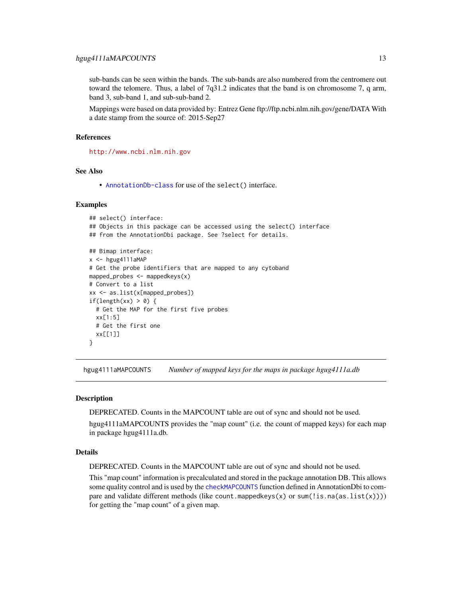<span id="page-12-0"></span>sub-bands can be seen within the bands. The sub-bands are also numbered from the centromere out toward the telomere. Thus, a label of 7q31.2 indicates that the band is on chromosome 7, q arm, band 3, sub-band 1, and sub-sub-band 2.

Mappings were based on data provided by: Entrez Gene ftp://ftp.ncbi.nlm.nih.gov/gene/DATA With a date stamp from the source of: 2015-Sep27

## References

<http://www.ncbi.nlm.nih.gov>

## See Also

• [AnnotationDb-class](#page-0-0) for use of the select() interface.

## Examples

```
## select() interface:
## Objects in this package can be accessed using the select() interface
## from the AnnotationDbi package. See ?select for details.
## Bimap interface:
x <- hgug4111aMAP
# Get the probe identifiers that are mapped to any cytoband
mapped_probes <- mappedkeys(x)
# Convert to a list
xx <- as.list(x[mapped_probes])
if(length(xx) > 0) {
  # Get the MAP for the first five probes
  xx[1:5]
  # Get the first one
  xx[[1]]
}
```
hgug4111aMAPCOUNTS *Number of mapped keys for the maps in package hgug4111a.db*

## Description

DEPRECATED. Counts in the MAPCOUNT table are out of sync and should not be used.

hgug4111aMAPCOUNTS provides the "map count" (i.e. the count of mapped keys) for each map in package hgug4111a.db.

#### Details

DEPRECATED. Counts in the MAPCOUNT table are out of sync and should not be used.

This "map count" information is precalculated and stored in the package annotation DB. This allows some quality control and is used by the [checkMAPCOUNTS](#page-0-0) function defined in AnnotationDbi to compare and validate different methods (like count.mappedkeys(x) or sum(!is.na(as.list(x)))) for getting the "map count" of a given map.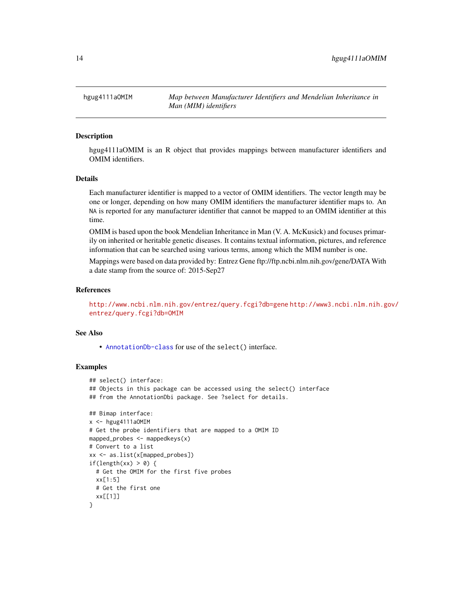<span id="page-13-0"></span>hgug4111aOMIM *Map between Manufacturer Identifiers and Mendelian Inheritance in Man (MIM) identifiers*

## Description

hgug4111aOMIM is an R object that provides mappings between manufacturer identifiers and OMIM identifiers.

## Details

Each manufacturer identifier is mapped to a vector of OMIM identifiers. The vector length may be one or longer, depending on how many OMIM identifiers the manufacturer identifier maps to. An NA is reported for any manufacturer identifier that cannot be mapped to an OMIM identifier at this time.

OMIM is based upon the book Mendelian Inheritance in Man (V. A. McKusick) and focuses primarily on inherited or heritable genetic diseases. It contains textual information, pictures, and reference information that can be searched using various terms, among which the MIM number is one.

Mappings were based on data provided by: Entrez Gene ftp://ftp.ncbi.nlm.nih.gov/gene/DATA With a date stamp from the source of: 2015-Sep27

## References

<http://www.ncbi.nlm.nih.gov/entrez/query.fcgi?db=gene> [http://www3.ncbi.nlm.nih.g](http://www3.ncbi.nlm.nih.gov/entrez/query.fcgi?db=OMIM)ov/ [entrez/query.fcgi?db=OMIM](http://www3.ncbi.nlm.nih.gov/entrez/query.fcgi?db=OMIM)

## See Also

• [AnnotationDb-class](#page-0-0) for use of the select() interface.

```
## select() interface:
## Objects in this package can be accessed using the select() interface
## from the AnnotationDbi package. See ?select for details.
## Bimap interface:
x <- hgug4111a0MIM
# Get the probe identifiers that are mapped to a OMIM ID
mapped_probes \leq mappedkeys(x)
# Convert to a list
xx <- as.list(x[mapped_probes])
if(length(xx) > 0) {
 # Get the OMIM for the first five probes
 xx[1:5]
 # Get the first one
 xx[[1]]
}
```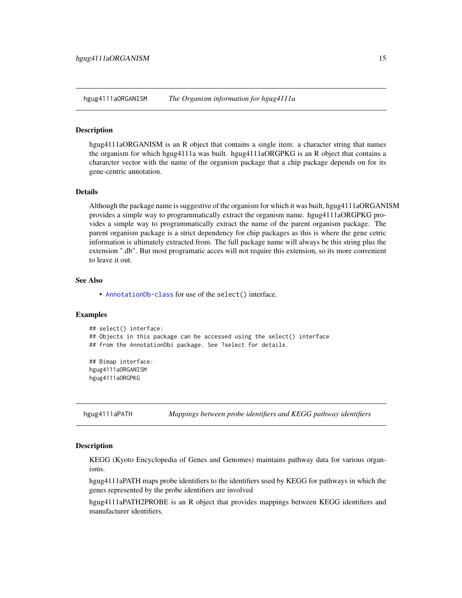<span id="page-14-0"></span>hgug4111aORGANISM *The Organism information for hgug4111a*

## **Description**

hgug4111aORGANISM is an R object that contains a single item: a character string that names the organism for which hgug4111a was built. hgug4111aORGPKG is an R object that contains a chararcter vector with the name of the organism package that a chip package depends on for its gene-centric annotation.

## Details

Although the package name is suggestive of the organism for which it was built, hgug4111aORGANISM provides a simple way to programmatically extract the organism name. hgug4111aORGPKG provides a simple way to programmatically extract the name of the parent organism package. The parent organism package is a strict dependency for chip packages as this is where the gene cetric information is ultimately extracted from. The full package name will always be this string plus the extension ".db". But most programatic acces will not require this extension, so its more convenient to leave it out.

#### See Also

• [AnnotationDb-class](#page-0-0) for use of the select() interface.

## Examples

```
## select() interface:
## Objects in this package can be accessed using the select() interface
## from the AnnotationDbi package. See ?select for details.
## Bimap interface:
```
hgug4111aORGANISM hgug4111aORGPKG

hgug4111aPATH *Mappings between probe identifiers and KEGG pathway identifiers*

## Description

KEGG (Kyoto Encyclopedia of Genes and Genomes) maintains pathway data for various organisms.

hgug4111aPATH maps probe identifiers to the identifiers used by KEGG for pathways in which the genes represented by the probe identifiers are involved

hgug4111aPATH2PROBE is an R object that provides mappings between KEGG identifiers and manufacturer identifiers.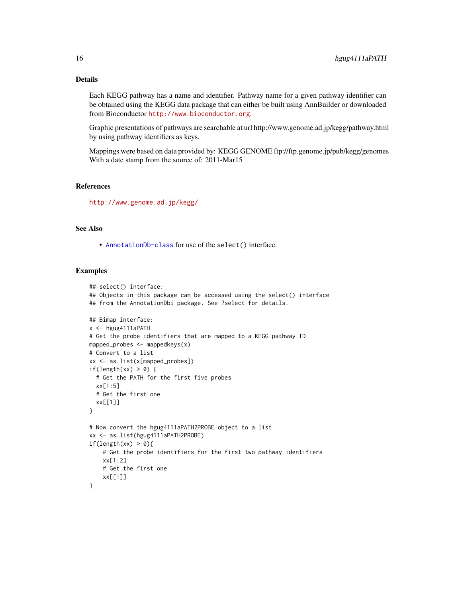## Details

Each KEGG pathway has a name and identifier. Pathway name for a given pathway identifier can be obtained using the KEGG data package that can either be built using AnnBuilder or downloaded from Bioconductor <http://www.bioconductor.org>.

Graphic presentations of pathways are searchable at url http://www.genome.ad.jp/kegg/pathway.html by using pathway identifiers as keys.

Mappings were based on data provided by: KEGG GENOME ftp://ftp.genome.jp/pub/kegg/genomes With a date stamp from the source of: 2011-Mar15

## References

<http://www.genome.ad.jp/kegg/>

## See Also

• [AnnotationDb-class](#page-0-0) for use of the select() interface.

```
## select() interface:
## Objects in this package can be accessed using the select() interface
## from the AnnotationDbi package. See ?select for details.
## Bimap interface:
x <- hgug4111aPATH
# Get the probe identifiers that are mapped to a KEGG pathway ID
mapped_probes <- mappedkeys(x)
# Convert to a list
xx <- as.list(x[mapped_probes])
if(length(xx) > 0) {
  # Get the PATH for the first five probes
  xx[1:5]
  # Get the first one
  xx[[1]]
}
# Now convert the hgug4111aPATH2PROBE object to a list
xx <- as.list(hgug4111aPATH2PROBE)
if(length(xx) > 0){
    # Get the probe identifiers for the first two pathway identifiers
    xx[1:2]
    # Get the first one
    xx[[1]]
}
```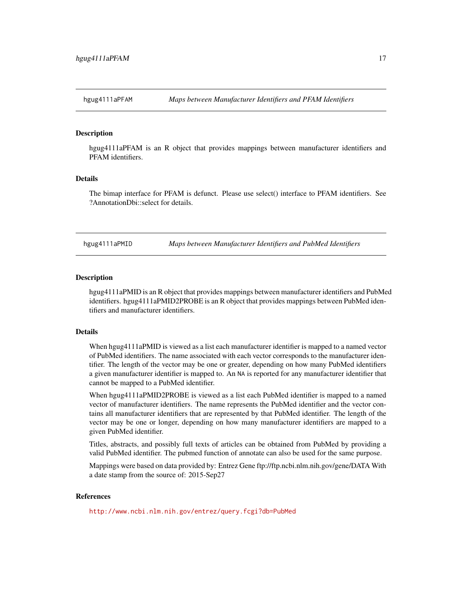## <span id="page-16-0"></span>**Description**

hgug4111aPFAM is an R object that provides mappings between manufacturer identifiers and PFAM identifiers.

## Details

The bimap interface for PFAM is defunct. Please use select() interface to PFAM identifiers. See ?AnnotationDbi::select for details.

hgug4111aPMID *Maps between Manufacturer Identifiers and PubMed Identifiers*

## Description

hgug4111aPMID is an R object that provides mappings between manufacturer identifiers and PubMed identifiers. hgug4111aPMID2PROBE is an R object that provides mappings between PubMed identifiers and manufacturer identifiers.

## **Details**

When hgug4111aPMID is viewed as a list each manufacturer identifier is mapped to a named vector of PubMed identifiers. The name associated with each vector corresponds to the manufacturer identifier. The length of the vector may be one or greater, depending on how many PubMed identifiers a given manufacturer identifier is mapped to. An NA is reported for any manufacturer identifier that cannot be mapped to a PubMed identifier.

When hgug4111aPMID2PROBE is viewed as a list each PubMed identifier is mapped to a named vector of manufacturer identifiers. The name represents the PubMed identifier and the vector contains all manufacturer identifiers that are represented by that PubMed identifier. The length of the vector may be one or longer, depending on how many manufacturer identifiers are mapped to a given PubMed identifier.

Titles, abstracts, and possibly full texts of articles can be obtained from PubMed by providing a valid PubMed identifier. The pubmed function of annotate can also be used for the same purpose.

Mappings were based on data provided by: Entrez Gene ftp://ftp.ncbi.nlm.nih.gov/gene/DATA With a date stamp from the source of: 2015-Sep27

## References

<http://www.ncbi.nlm.nih.gov/entrez/query.fcgi?db=PubMed>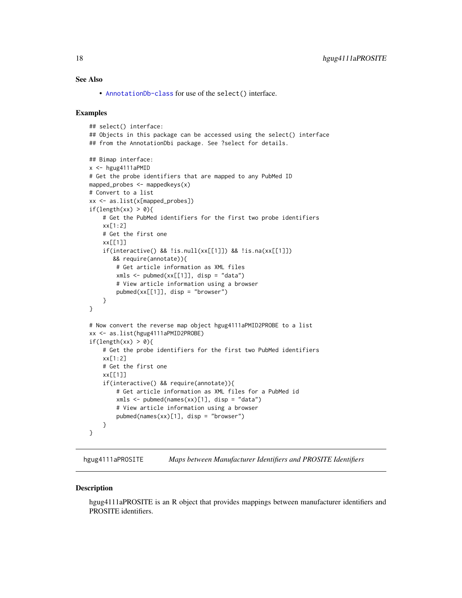## <span id="page-17-0"></span>See Also

• [AnnotationDb-class](#page-0-0) for use of the select() interface.

## Examples

```
## select() interface:
## Objects in this package can be accessed using the select() interface
## from the AnnotationDbi package. See ?select for details.
## Bimap interface:
x <- hgug4111aPMID
# Get the probe identifiers that are mapped to any PubMed ID
mapped_probes <- mappedkeys(x)
# Convert to a list
xx <- as.list(x[mapped_probes])
if(length(xx) > 0)# Get the PubMed identifiers for the first two probe identifiers
    xx[1:2]
    # Get the first one
    xx[[1]]
    if(interactive() && !is.null(xx[[1]]) && !is.na(xx[[1]])
       && require(annotate)){
        # Get article information as XML files
        xmls \leftarrow \text{pubmed}(xx[[1]], \text{disp} = "data")# View article information using a browser
        pubmed(xx[[1]], disp = "browser")
    }
}
# Now convert the reverse map object hgug4111aPMID2PROBE to a list
xx <- as.list(hgug4111aPMID2PROBE)
if(length(xx) > 0){
    # Get the probe identifiers for the first two PubMed identifiers
    xx[1:2]
    # Get the first one
    xx[[1]]
    if(interactive() && require(annotate)){
        # Get article information as XML files for a PubMed id
        xmls <- pubmed(names(xx)[1], disp = "data")
        # View article information using a browser
        pubmed(names(xx)[1], disp = "browser")}
}
```
hgug4111aPROSITE *Maps between Manufacturer Identifiers and PROSITE Identifiers*

#### **Description**

hgug4111aPROSITE is an R object that provides mappings between manufacturer identifiers and PROSITE identifiers.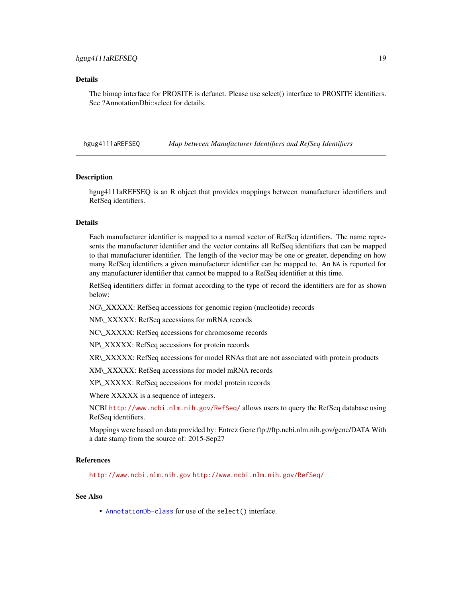## <span id="page-18-0"></span>Details

The bimap interface for PROSITE is defunct. Please use select() interface to PROSITE identifiers. See ?AnnotationDbi::select for details.

hgug4111aREFSEQ *Map between Manufacturer Identifiers and RefSeq Identifiers*

#### **Description**

hgug4111aREFSEQ is an R object that provides mappings between manufacturer identifiers and RefSeq identifiers.

## Details

Each manufacturer identifier is mapped to a named vector of RefSeq identifiers. The name represents the manufacturer identifier and the vector contains all RefSeq identifiers that can be mapped to that manufacturer identifier. The length of the vector may be one or greater, depending on how many RefSeq identifiers a given manufacturer identifier can be mapped to. An NA is reported for any manufacturer identifier that cannot be mapped to a RefSeq identifier at this time.

RefSeq identifiers differ in format according to the type of record the identifiers are for as shown below:

NG\\_XXXXX: RefSeq accessions for genomic region (nucleotide) records

NM\\_XXXXX: RefSeq accessions for mRNA records

NC\\_XXXXX: RefSeq accessions for chromosome records

NP\\_XXXXX: RefSeq accessions for protein records

XR\\_XXXXX: RefSeq accessions for model RNAs that are not associated with protein products

XM\\_XXXXX: RefSeq accessions for model mRNA records

XP\\_XXXXX: RefSeq accessions for model protein records

Where XXXXX is a sequence of integers.

NCBI <http://www.ncbi.nlm.nih.gov/RefSeq/> allows users to query the RefSeq database using RefSeq identifiers.

Mappings were based on data provided by: Entrez Gene ftp://ftp.ncbi.nlm.nih.gov/gene/DATA With a date stamp from the source of: 2015-Sep27

#### References

<http://www.ncbi.nlm.nih.gov> <http://www.ncbi.nlm.nih.gov/RefSeq/>

## See Also

• [AnnotationDb-class](#page-0-0) for use of the select() interface.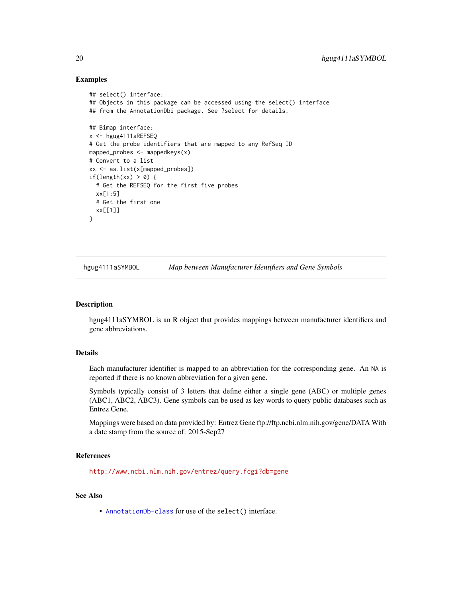## Examples

```
## select() interface:
## Objects in this package can be accessed using the select() interface
## from the AnnotationDbi package. See ?select for details.
## Bimap interface:
x <- hgug4111aREFSEQ
# Get the probe identifiers that are mapped to any RefSeq ID
mapped_probes <- mappedkeys(x)
# Convert to a list
xx <- as.list(x[mapped_probes])
if(length(xx) > 0) {
  # Get the REFSEQ for the first five probes
  xx[1:5]
  # Get the first one
  xx[[1]]
}
```
hgug4111aSYMBOL *Map between Manufacturer Identifiers and Gene Symbols*

## Description

hgug4111aSYMBOL is an R object that provides mappings between manufacturer identifiers and gene abbreviations.

## Details

Each manufacturer identifier is mapped to an abbreviation for the corresponding gene. An NA is reported if there is no known abbreviation for a given gene.

Symbols typically consist of 3 letters that define either a single gene (ABC) or multiple genes (ABC1, ABC2, ABC3). Gene symbols can be used as key words to query public databases such as Entrez Gene.

Mappings were based on data provided by: Entrez Gene ftp://ftp.ncbi.nlm.nih.gov/gene/DATA With a date stamp from the source of: 2015-Sep27

## References

<http://www.ncbi.nlm.nih.gov/entrez/query.fcgi?db=gene>

## See Also

• [AnnotationDb-class](#page-0-0) for use of the select() interface.

<span id="page-19-0"></span>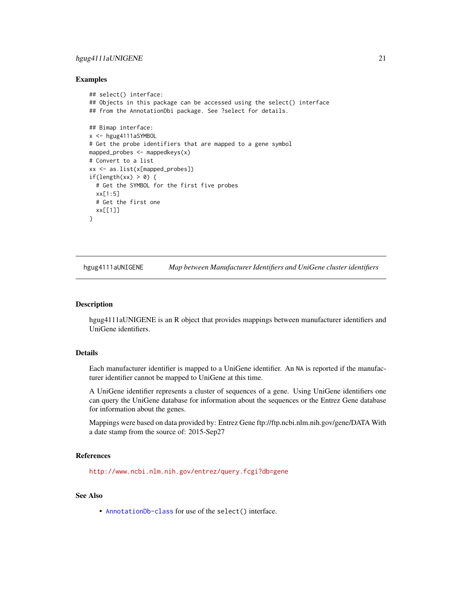## <span id="page-20-0"></span>hgug4111aUNIGENE 21

## Examples

```
## select() interface:
## Objects in this package can be accessed using the select() interface
## from the AnnotationDbi package. See ?select for details.
## Bimap interface:
x <- hgug4111aSYMBOL
# Get the probe identifiers that are mapped to a gene symbol
mapped_probes <- mappedkeys(x)
# Convert to a list
xx <- as.list(x[mapped_probes])
if(length(xx) > 0) {
  # Get the SYMBOL for the first five probes
  xx[1:5]
  # Get the first one
  xx[[1]]
}
```
hgug4111aUNIGENE *Map between Manufacturer Identifiers and UniGene cluster identifiers*

#### Description

hgug4111aUNIGENE is an R object that provides mappings between manufacturer identifiers and UniGene identifiers.

## Details

Each manufacturer identifier is mapped to a UniGene identifier. An NA is reported if the manufacturer identifier cannot be mapped to UniGene at this time.

A UniGene identifier represents a cluster of sequences of a gene. Using UniGene identifiers one can query the UniGene database for information about the sequences or the Entrez Gene database for information about the genes.

Mappings were based on data provided by: Entrez Gene ftp://ftp.ncbi.nlm.nih.gov/gene/DATA With a date stamp from the source of: 2015-Sep27

## References

<http://www.ncbi.nlm.nih.gov/entrez/query.fcgi?db=gene>

## See Also

• [AnnotationDb-class](#page-0-0) for use of the select() interface.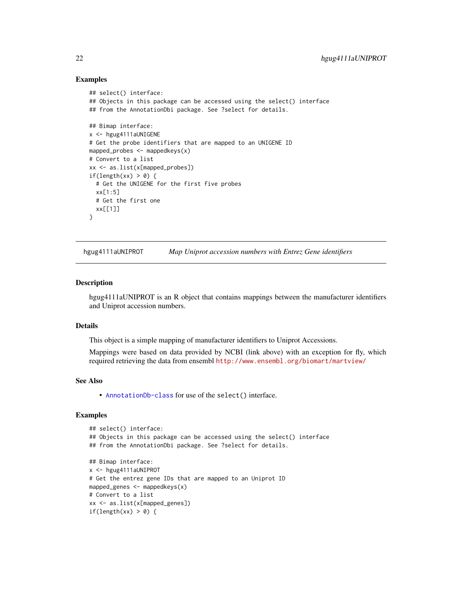## Examples

```
## select() interface:
## Objects in this package can be accessed using the select() interface
## from the AnnotationDbi package. See ?select for details.
## Bimap interface:
x <- hgug4111aUNIGENE
# Get the probe identifiers that are mapped to an UNIGENE ID
mapped_probes <- mappedkeys(x)
# Convert to a list
xx <- as.list(x[mapped_probes])
if(length(xx) > 0) {
  # Get the UNIGENE for the first five probes
  xx[1:5]
  # Get the first one
  xx[[1]]
}
```
hgug4111aUNIPROT *Map Uniprot accession numbers with Entrez Gene identifiers*

#### Description

hgug4111aUNIPROT is an R object that contains mappings between the manufacturer identifiers and Uniprot accession numbers.

## Details

This object is a simple mapping of manufacturer identifiers to Uniprot Accessions.

Mappings were based on data provided by NCBI (link above) with an exception for fly, which required retrieving the data from ensembl <http://www.ensembl.org/biomart/martview/>

## See Also

• [AnnotationDb-class](#page-0-0) for use of the select() interface.

```
## select() interface:
## Objects in this package can be accessed using the select() interface
## from the AnnotationDbi package. See ?select for details.
## Bimap interface:
x <- hgug4111aUNIPROT
# Get the entrez gene IDs that are mapped to an Uniprot ID
mapped_genes <- mappedkeys(x)
# Convert to a list
xx <- as.list(x[mapped_genes])
if(length(xx) > 0) {
```
<span id="page-21-0"></span>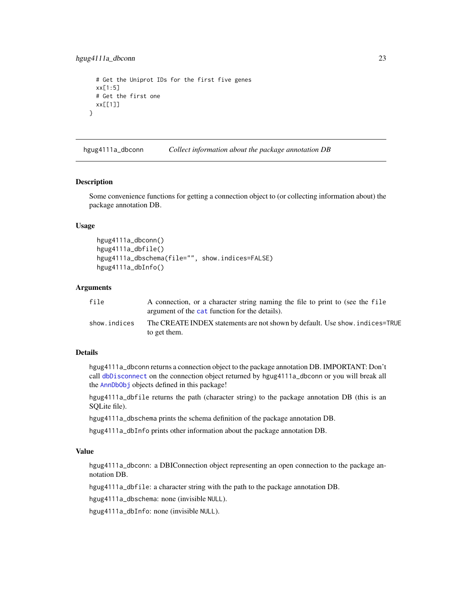```
# Get the Uniprot IDs for the first five genes
 xx[1:5]
 # Get the first one
 xx[[1]]
}
```
hgug4111a\_dbconn *Collect information about the package annotation DB*

#### Description

Some convenience functions for getting a connection object to (or collecting information about) the package annotation DB.

## Usage

```
hgug4111a_dbconn()
hgug4111a_dbfile()
hgug4111a_dbschema(file="", show.indices=FALSE)
hgug4111a_dbInfo()
```
## **Arguments**

| file         | A connection, or a character string naming the file to print to (see the file<br>argument of the cat function for the details). |
|--------------|---------------------------------------------------------------------------------------------------------------------------------|
| show.indices | The CREATE INDEX statements are not shown by default. Use show, indices=TRUE<br>to get them.                                    |

## Details

hgug4111a\_dbconn returns a connection object to the package annotation DB. IMPORTANT: Don't call [dbDisconnect](#page-0-0) on the connection object returned by hgug4111a\_dbconn or you will break all the [AnnDbObj](#page-0-0) objects defined in this package!

hgug4111a\_dbfile returns the path (character string) to the package annotation DB (this is an SQLite file).

hgug4111a\_dbschema prints the schema definition of the package annotation DB.

hgug4111a\_dbInfo prints other information about the package annotation DB.

## Value

hgug4111a\_dbconn: a DBIConnection object representing an open connection to the package annotation DB.

hgug4111a\_dbfile: a character string with the path to the package annotation DB.

hgug4111a\_dbschema: none (invisible NULL).

hgug4111a\_dbInfo: none (invisible NULL).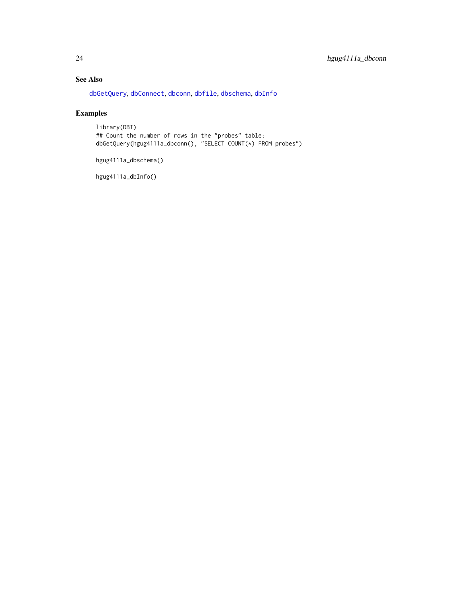## <span id="page-23-0"></span>See Also

[dbGetQuery](#page-0-0), [dbConnect](#page-0-0), [dbconn](#page-0-0), [dbfile](#page-0-0), [dbschema](#page-0-0), [dbInfo](#page-0-0)

## Examples

library(DBI) ## Count the number of rows in the "probes" table: dbGetQuery(hgug4111a\_dbconn(), "SELECT COUNT(\*) FROM probes")

hgug4111a\_dbschema()

hgug4111a\_dbInfo()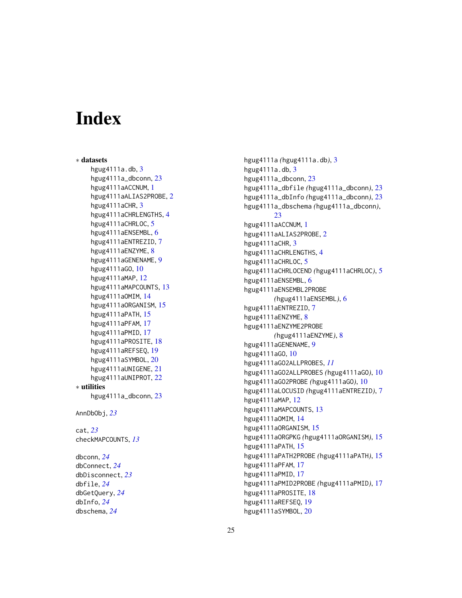# Index

∗ datasets hgug 4111 a . db, [3](#page-2-0) hgug4111a\_dbconn , [23](#page-22-0) hgug4111aACCNUM , [1](#page-0-1) hgug4111aALIAS[2](#page-1-0)PROBE, 2 hgug 4111 a CHR, [3](#page-2-0) hgug4111aCHRLENGTHS , [4](#page-3-0) hgug4111aCHRLOC, [5](#page-4-0) hgug4111aENSEMBL, [6](#page-5-0) hgug4111aENTREZID , [7](#page-6-0) hgug4111aENZYME, [8](#page-7-0) hgug4111aGENENAME , [9](#page-8-0) hgug4111aGO , [10](#page-9-1) hgug4111aMAP , [12](#page-11-0) hgug4111aMAPCOUNTS, [13](#page-12-0) hgug4111aOMIM , [14](#page-13-0) hgug4111aORGANISM , [15](#page-14-0) hgug4111aPATH , [15](#page-14-0) hgug4111aPFAM , [17](#page-16-0) hgug4111aPMID , [17](#page-16-0) hgug4111aPROSITE , [18](#page-17-0) hgug4111aREFSEQ , [19](#page-18-0) hgug4111aSYMBOL , [20](#page-19-0) hgug4111aUNIGENE , [21](#page-20-0) hgug4111aUNIPROT , [22](#page-21-0) ∗ utilities hgug4111a\_dbconn , [23](#page-22-0) AnnDbObj , *[23](#page-22-0)* cat , *[23](#page-22-0)* checkMAPCOUNTS , *[13](#page-12-0)* dbconn , *[24](#page-23-0)* dbConnect , *[24](#page-23-0)* dbDisconnect , *[23](#page-22-0)* dbfile , *[24](#page-23-0)* dbGetQuery , *[24](#page-23-0)* dbInfo , *[24](#page-23-0)*

dbschema , *[24](#page-23-0)*

hgug4111a *(*hgug4111a.db *)* , [3](#page-2-0) hgug4111a.db, [3](#page-2-0) hgug4111a\_dbconn , [23](#page-22-0) hgug4111a\_dbfile *(*hgug4111a\_dbconn *)* , [23](#page-22-0) hgug4111a\_dbInfo *(*hgug4111a\_dbconn *)* , [23](#page-22-0) hgug4111a\_dbschema *(*hgug4111a\_dbconn *)* , [23](#page-22-0) hgug4111aACCNUM , [1](#page-0-1) hgug4111aALIAS2PROBE , [2](#page-1-0) hgug4111aCHR, [3](#page-2-0) hgug4111aCHRLENGTHS , [4](#page-3-0) hgug4111aCHRLOC, [5](#page-4-0) hgug4111aCHRLOCEND *(*hgug4111aCHRLOC *)* , [5](#page-4-0) hgug4111aENSEMBL, [6](#page-5-0) hgug4111aENSEMBL2PROBE *(*hgug4111aENSEMBL *)* , [6](#page-5-0) hgug4111aENTREZID , [7](#page-6-0) hgug4111aENZYME, [8](#page-7-0) hgug4111aENZYME2PROBE *(*hgug4111aENZYME *)* , [8](#page-7-0) hgug4111aGENENAME , [9](#page-8-0) hgug4111aGO , [10](#page-9-1) hgug4111aGO2ALLPROBES , *[11](#page-10-0)* hgug4111aGO2ALLPROBES *(*hgug4111aGO *)* , [10](#page-9-1) hgug4111aGO2PROBE *(*hgug4111aGO *)* , [10](#page-9-1) hgug4111aLOCUSID *(*hgug4111aENTREZID *)* , [7](#page-6-0) hgug4111aMAP , [12](#page-11-0) hgug4111aMAPCOUNTS, [13](#page-12-0) hgug4111aOMIM , [14](#page-13-0) hgug4111aORGANISM , [15](#page-14-0) hgug4111aORGPKG *(*hgug4111aORGANISM *)* , [15](#page-14-0) hgug4111aPATH , [15](#page-14-0) hgug4111aPATH2PROBE *(*hgug4111aPATH *)* , [15](#page-14-0) hgug4111aPFAM , [17](#page-16-0) hgug4111aPMID , [17](#page-16-0) hgug4111aPMID2PROBE *(*hgug4111aPMID *)* , [17](#page-16-0) hgug4111aPROSITE , [18](#page-17-0) hgug4111aREFSEQ , [19](#page-18-0) hgug4111aSYMBOL , [20](#page-19-0)